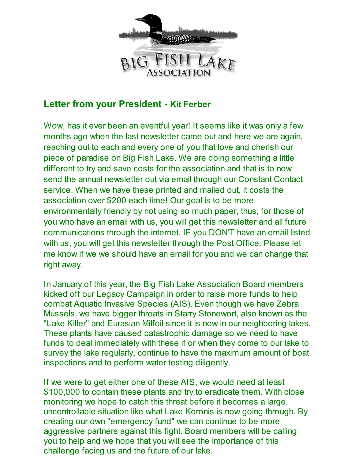

# **Letter from your President - Kit Ferber**

Wow, has it ever been an eventful year! It seems like it was only a few months ago when the last newsletter came out and here we are again, reaching out to each and every one of you that love and cherish our piece of paradise on Big Fish Lake. We are doing something a little different to try and save costs for the association and that is to now send the annual newsletter out via email through our Constant Contact service. When we have these printed and mailed out, it costs the association over \$200 each time! Our goal is to be more environmentally friendly by not using so much paper, thus, for those of you who have an email with us, you will get this newsletter and all future communications through the internet. IF you DON'T have an email listed with us, you will get this newsletter through the Post Office. Please let me know if we we should have an email for you and we can change that right away.

In January of this year, the Big Fish Lake Association Board members kicked off our Legacy Campaign in order to raise more funds to help combat Aquatic Invasive Species (AIS). Even though we have Zebra Mussels, we have bigger threats in Starry Stonewort, also known as the "Lake Killer" and Eurasian Milfoil since it is now in our neighboring lakes. These plants have caused catastrophic damage so we need to have funds to deal immediately with these if or when they come to our lake to survey the lake regularly, continue to have the maximum amount of boat inspections and to perform water testing diligently.

If we were to get either one of these AIS, we would need at least \$100,000 to contain these plants and try to eradicate them. With close monitoring we hope to catch this threat before it becomes a large, uncontrollable situation like what Lake Koronis is now going through. By creating our own "emergency fund" we can continue to be more aggressive partners against this fight. Board members will be calling you to help and we hope that you will see the importance of this challenge facing us and the future of our lake.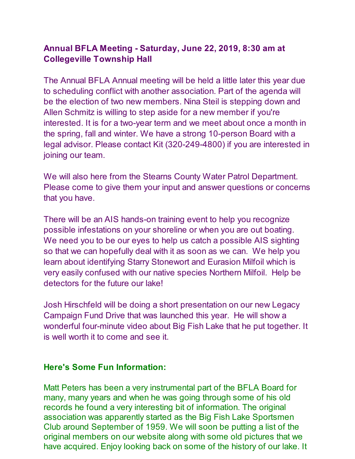## **Annual BFLA Meeting - Saturday, June 22, 2019, 8:30 am at Collegeville Township Hall**

The Annual BFLA Annual meeting will be held a little later this year due to scheduling conflict with another association. Part of the agenda will be the election of two new members. Nina Steil is stepping down and Allen Schmitz is willing to step aside for a new member if you're interested. It is for a two-year term and we meet about once a month in the spring, fall and winter. We have a strong 10-person Board with a legal advisor. Please contact Kit (320-249-4800) if you are interested in joining our team.

We will also here from the Stearns County Water Patrol Department. Please come to give them your input and answer questions or concerns that you have.

There will be an AIS hands-on training event to help you recognize possible infestations on your shoreline or when you are out boating. We need you to be our eyes to help us catch a possible AIS sighting so that we can hopefully deal with it as soon as we can. We help you learn about identifying Starry Stonewort and Eurasion Milfoil which is very easily confused with our native species Northern Milfoil. Help be detectors for the future our lake!

Josh Hirschfeld will be doing a short presentation on our new Legacy Campaign Fund Drive that was launched this year. He will show a wonderful four-minute video about Big Fish Lake that he put together. It is well worth it to come and see it.

## **Here's Some Fun Information:**

Matt Peters has been a very instrumental part of the BFLA Board for many, many years and when he was going through some of his old records he found a very interesting bit of information. The original association was apparently started as the Big Fish Lake Sportsmen Club around September of 1959. We will soon be putting a list of the original members on our website along with some old pictures that we have acquired. Enjoy looking back on some of the history of our lake. It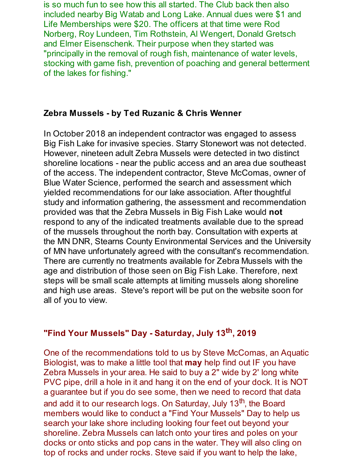is so much fun to see how this all started. The Club back then also included nearby Big Watab and Long Lake. Annual dues were \$1 and Life Memberships were \$20. The officers at that time were Rod Norberg, Roy Lundeen, Tim Rothstein, Al Wengert, Donald Gretsch and Elmer Eisenschenk. Their purpose when they started was "principally in the removal of rough fish, maintenance of water levels, stocking with game fish, prevention of poaching and general betterment of the lakes for fishing."

## **Zebra Mussels - by Ted Ruzanic & Chris Wenner**

In October 2018 an independent contractor was engaged to assess Big Fish Lake for invasive species. Starry Stonewort was not detected. However, nineteen adult Zebra Mussels were detected in two distinct shoreline locations - near the public access and an area due southeast of the access. The independent contractor, Steve McComas, owner of Blue Water Science, performed the search and assessment which yielded recommendations for our lake association. After thoughtful study and information gathering, the assessment and recommendation provided was that the Zebra Mussels in Big Fish Lake would **not** respond to any of the indicated treatments available due to the spread of the mussels throughout the north bay. Consultation with experts at the MN DNR, Stearns County Environmental Services and the University of MN have unfortunately agreed with the consultant's recommendation. There are currently no treatments available for Zebra Mussels with the age and distribution of those seen on Big Fish Lake. Therefore, next steps will be small scale attempts at limiting mussels along shoreline and high use areas. Steve's report will be put on the website soon for all of you to view.

# **"Find Your Mussels" Day - Saturday, July 13 th, 2019**

One of the recommendations told to us by Steve McComas, an Aquatic Biologist, was to make a little tool that **may** help find out IF you have Zebra Mussels in your area. He said to buy a 2" wide by 2' long white PVC pipe, drill a hole in it and hang it on the end of your dock. It is NOT a guarantee but if you do see some, then we need to record that data and add it to our research logs. On Saturday, July 13<sup>th</sup>, the Board members would like to conduct a "Find Your Mussels" Day to help us search your lake shore including looking four feet out beyond your shoreline. Zebra Mussels can latch onto your tires and poles on your docks or onto sticks and pop cans in the water. They will also cling on top of rocks and under rocks. Steve said if you want to help the lake,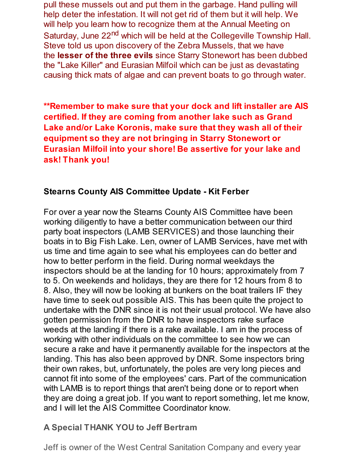pull these mussels out and put them in the garbage. Hand pulling will help deter the infestation. It will not get rid of them but it will help. We will help you learn how to recognize them at the Annual Meeting on Saturday, June 22<sup>nd</sup> which will be held at the Collegeville Township Hall. Steve told us upon discovery of the Zebra Mussels, that we have the **lesser of the three evils** since Starry Stonewort has been dubbed the "Lake Killer" and Eurasian Milfoil which can be just as devastating causing thick mats of algae and can prevent boats to go through water.

**\*\*Remember to make sure that your dock and lift installer are AIS certified. If they are coming from another lake such as Grand Lake and/or Lake Koronis, make sure that they wash all of their equipment so they are not bringing in Starry Stonewort or Eurasian Milfoil into your shore! Be assertive for your lake and ask! Thank you!**

## **Stearns County AIS Committee Update - Kit Ferber**

For over a year now the Stearns County AIS Committee have been working diligently to have a better communication between our third party boat inspectors (LAMB SERVICES) and those launching their boats in to Big Fish Lake. Len, owner of LAMB Services, have met with us time and time again to see what his employees can do better and how to better perform in the field. During normal weekdays the inspectors should be at the landing for 10 hours; approximately from 7 to 5. On weekends and holidays, they are there for 12 hours from 8 to 8. Also, they will now be looking at bunkers on the boat trailers IF they have time to seek out possible AIS. This has been quite the project to undertake with the DNR since it is not their usual protocol. We have also gotten permission from the DNR to have inspectors rake surface weeds at the landing if there is a rake available. I am in the process of working with other individuals on the committee to see how we can secure a rake and have it permanently available for the inspectors at the landing. This has also been approved by DNR. Some inspectors bring their own rakes, but, unfortunately, the poles are very long pieces and cannot fit into some of the employees' cars. Part of the communication with LAMB is to report things that aren't being done or to report when they are doing a great job. If you want to report something, let me know, and I will let the AIS Committee Coordinator know.

## **A Special THANK YOU to Jeff Bertram**

Jeff is owner of the West Central Sanitation Company and every year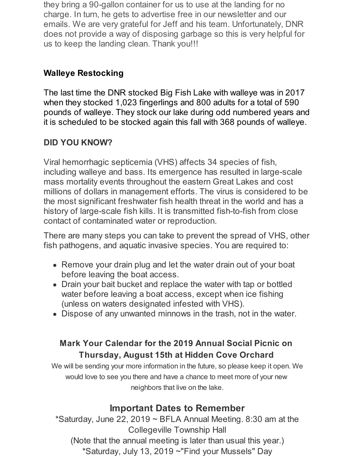they bring a 90-gallon container for us to use at the landing for no charge. In turn, he gets to advertise free in our newsletter and our emails. We are very grateful for Jeff and his team. Unfortunately, DNR does not provide a way of disposing garbage so this is very helpful for us to keep the landing clean. Thank you!!!

# **Walleye Restocking**

The last time the DNR stocked Big Fish Lake with walleye was in 2017 when they stocked 1,023 fingerlings and 800 adults for a total of 590 pounds of walleye. They stock our lake during odd numbered years and it is scheduled to be stocked again this fall with 368 pounds of walleye.

# **DID YOU KNOW?**

Viral hemorrhagic septicemia (VHS) affects 34 species of fish, including walleye and bass. Its emergence has resulted in large-scale mass mortality events throughout the eastern Great Lakes and cost millions of dollars in management efforts. The virus is considered to be the most significant freshwater fish health threat in the world and has a history of large-scale fish kills. It is transmitted fish-to-fish from close contact of contaminated water or reproduction.

There are many steps you can take to prevent the spread of VHS, other fish pathogens, and aquatic invasive species. You are required to:

- Remove your drain plug and let the water drain out of your boat before leaving the boat access.
- Drain your bait bucket and replace the water with tap or bottled water before leaving a boat access, except when ice fishing (unless on waters designated infested with VHS).
- Dispose of any unwanted minnows in the trash, not in the water.

# **Mark Your Calendar for the 2019 Annual Social Picnic on Thursday, August 15th at Hidden Cove Orchard**

We will be sending your more information in the future, so please keep it open. We would love to see you there and have a chance to meet more of your new neighbors that live on the lake.

# **Important Dates to Remember**

\*Saturday, June 22, 2019  $\sim$  BFLA Annual Meeting. 8:30 am at the Collegeville Township Hall (Note that the annual meeting is later than usual this year.) \*Saturday, July 13, 2019 ~"Find your Mussels" Day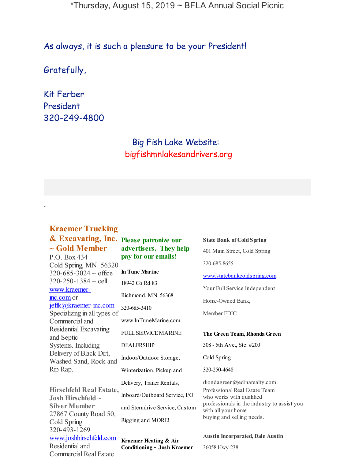\*Thursday, August 15, 2019 ~ BFLA Annual Social Picnic

As always, it is such a pleasure to be your President!

Gratefully,

Kit Ferber President 320-249-4800

> Big Fish Lake Website: bigfishmnlakesandrivers.org

# **Kraemer Trucking**

**~ Gold Member**

-

P.O. Box 434 Cold Spring, MN 56320  $320 - 685 - 3024 \sim \text{office}$  $320 - 250 - 1384 \sim$  cell [www.kraemer](http://www.kraemer-inc.com/)inc.com or jeffk@kraemer-inc.com Specializing in all types of Commercial and Residential Excavating and Septic Systems. Including Delivery of Black Dirt, Washed Sand, Rock and Rip Rap.

**Hirschfeld Real Estate, Josh Hirschfeld ~ Silver Member** 27867 County Road 50, Cold Spring 320-493-1269 [www.joshhirschfeld.com](http://www.joshhirschfeld.com/) Residential and Commercial Real Estate

### **& Excavating, Inc. Please patronize our advertisers. They help pay for our emails!**

**In Tune Marine** 18942 Co Rd 83 Richmond, MN 56368 320-685-3410 [www.InTuneMarine.com](http://www.intunemarine.com/) FULL SERVICE MARINE DEALERSHIP Indoor/Outdoor Storage, Winterization, Pickup and Delivery, Trailer Rentals, Inboard/Outboard Service, I/O

and Sterndrive Service, Custom Rigging and MORE!

**Kraemer Heating & Air Conditioning ~ Josh Kraemer** **State Bank of Cold Spring**

401 Main Street, Cold Spring 320-685-8655

[www.statebankcoldspring.com](http://www.statebankcoldspring.com/)

Your Full Service Independent

Home-Owned Bank,

Member FDIC

#### **The Green Team, Rhonda Green**

308 - 5th Ave., Ste. #200

Cold Spring

320-250-4648

rhondagreen@edinarealty.com Professional Real Estate Team who works with qualified professionals in the industry to assist you with all your home buying and selling needs.

**Austin Incorporated, Dale Austin**

36058 Hwy 238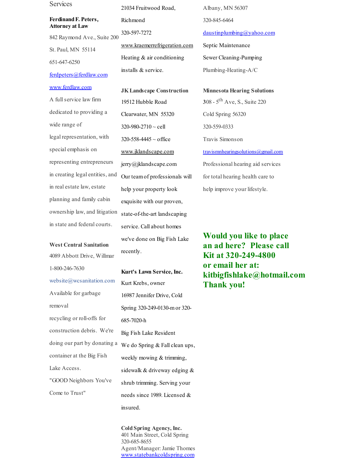**Services** 

#### **FerdinandF. Peters, Attorney at Law**

842 Raymond Ave., Suite 200 St. Paul, MN 55114 651-647-6250

### [ferdpeters@ferdlaw.com](mailto:ferdpeters@ferdlaw.com)

### [www.ferdlaw.com](http://www.ferdlaw.com/)

A fullservice law firm dedicated to providing a wide range of legal representation, with special emphasis on representing entrepreneurs in creating legal entities, and in real estate law, estate planning and family cabin ownership law, and litigation in state and federal courts.

#### **West Central Sanitation**

4089 Abbott Drive, Willmar 1-800-246-7630 website@wcsanitation.com Available for garbage removal recycling or roll-offs for construction debris. We're doing our part by donating a container at the Big Fish Lake Access. "GOOD Neighbors You've Come to Trust"

21034 Fruitwood Road, Richmond 320-597-7272 [www.kraemerrefrigeration.com](http://www.kraemerrefrigeration.com/) Heating & air conditioning installs & service.

**JKLandscape Construction** 19512 Hubble Road Clearwater, MN 55320 320-980-2710 ~ cell  $320 - 558 - 4445 \sim$  office [www.jklandscape.com](http://www.jklandscape.com/) jerry@jklandscape.com Our teamof professionals will help your property look exquisite with our proven, state-of-the-art landscaping service. Call about homes we've done on Big Fish Lake recently.

#### **Kurt's Lawn Service, Inc.**

Kurt Krebs, owner 16987 Jennifer Drive, Cold Spring 320-249-0130-mor 320- 685-7020-h Big Fish Lake Resident We do Spring & Fall clean ups, weekly mowing & trimming, sidewalk & driveway edging & shrub trimming. Serving your needs since 1989. Licensed & insured.

**Cold Spring Agency, Inc.** 401 Main Street, Cold Spring 320-685-8655 Agent/Manager:Jamie Thomes [www.statebankcoldspring.com](http://www.statebankcoldspring.com/)

Albany, MN 56307 320-845-6464 [daustinplumbing@yahoo.com](mailto:daustinplumbing@yahoo.com)

Septic Maintenance Sewer Cleaning-Pumping Plumbing-Heating-A/C

**Minnesota Hearing Solutions 3**08 - 5 th Ave, S., Suite 220 Cold Spring 56320 320-559-0333 Travis Simonson [travismnhearingsolutions@gmail.com](mailto:travismnhearingsolutions@gmail.com) Professional hearing aid services for total hearing health care to help improve your lifestyle.

**Would you like to place an ad here? Please call Kit at 320-249-4800 or email her at: kitbigfishlake@hotmail.com Thank you!**